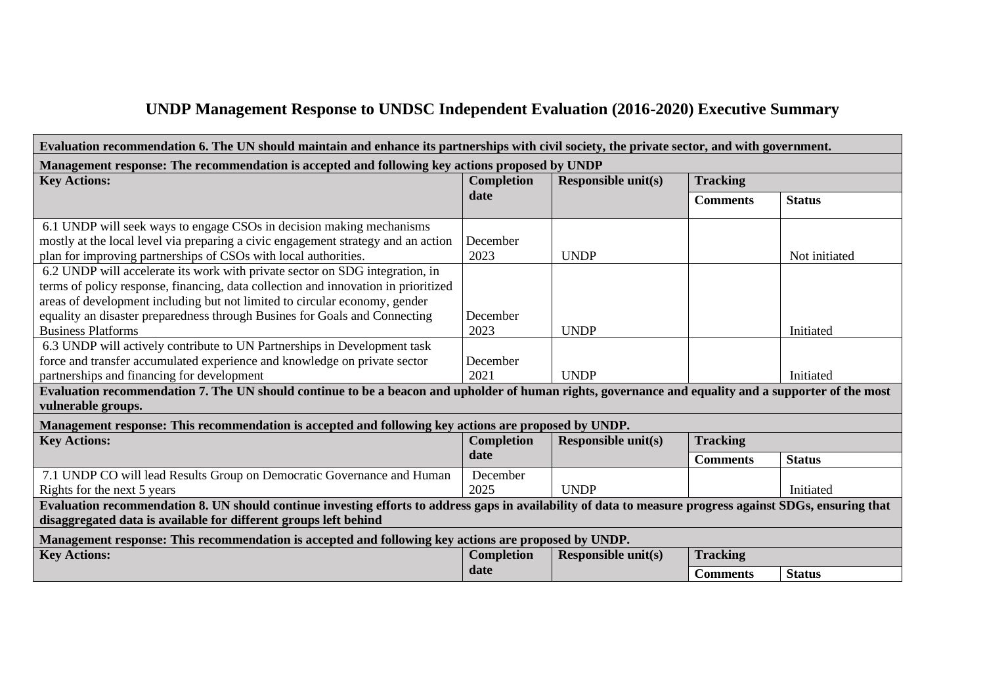## **UNDP Management Response to UNDSC Independent Evaluation (2016-2020) Executive Summary**

| Evaluation recommendation 6. The UN should maintain and enhance its partnerships with civil society, the private sector, and with government.                              |                           |                            |                 |               |  |  |  |  |
|----------------------------------------------------------------------------------------------------------------------------------------------------------------------------|---------------------------|----------------------------|-----------------|---------------|--|--|--|--|
| Management response: The recommendation is accepted and following key actions proposed by UNDP                                                                             |                           |                            |                 |               |  |  |  |  |
| <b>Key Actions:</b>                                                                                                                                                        | <b>Completion</b>         | <b>Responsible unit(s)</b> | <b>Tracking</b> |               |  |  |  |  |
|                                                                                                                                                                            | date                      |                            | <b>Comments</b> | <b>Status</b> |  |  |  |  |
| 6.1 UNDP will seek ways to engage CSOs in decision making mechanisms                                                                                                       |                           |                            |                 |               |  |  |  |  |
| mostly at the local level via preparing a civic engagement strategy and an action                                                                                          | December                  |                            |                 |               |  |  |  |  |
| plan for improving partnerships of CSOs with local authorities.                                                                                                            | 2023                      | <b>UNDP</b>                |                 | Not initiated |  |  |  |  |
| 6.2 UNDP will accelerate its work with private sector on SDG integration, in                                                                                               |                           |                            |                 |               |  |  |  |  |
| terms of policy response, financing, data collection and innovation in prioritized                                                                                         |                           |                            |                 |               |  |  |  |  |
| areas of development including but not limited to circular economy, gender                                                                                                 |                           |                            |                 |               |  |  |  |  |
| equality an disaster preparedness through Busines for Goals and Connecting                                                                                                 | December                  |                            |                 |               |  |  |  |  |
| <b>Business Platforms</b>                                                                                                                                                  | 2023                      | <b>UNDP</b>                |                 | Initiated     |  |  |  |  |
| 6.3 UNDP will actively contribute to UN Partnerships in Development task                                                                                                   |                           |                            |                 |               |  |  |  |  |
| force and transfer accumulated experience and knowledge on private sector                                                                                                  | December                  |                            |                 |               |  |  |  |  |
| partnerships and financing for development                                                                                                                                 | 2021                      | <b>UNDP</b>                |                 | Initiated     |  |  |  |  |
| Evaluation recommendation 7. The UN should continue to be a beacon and upholder of human rights, governance and equality and a supporter of the most<br>vulnerable groups. |                           |                            |                 |               |  |  |  |  |
| Management response: This recommendation is accepted and following key actions are proposed by UNDP.                                                                       |                           |                            |                 |               |  |  |  |  |
| <b>Key Actions:</b>                                                                                                                                                        | <b>Completion</b>         | <b>Responsible unit(s)</b> | <b>Tracking</b> |               |  |  |  |  |
|                                                                                                                                                                            | date                      |                            | <b>Comments</b> | <b>Status</b> |  |  |  |  |
| 7.1 UNDP CO will lead Results Group on Democratic Governance and Human                                                                                                     | December                  |                            |                 |               |  |  |  |  |
| Rights for the next 5 years                                                                                                                                                | 2025                      | <b>UNDP</b>                |                 | Initiated     |  |  |  |  |
| Evaluation recommendation 8. UN should continue investing efforts to address gaps in availability of data to measure progress against SDGs, ensuring that                  |                           |                            |                 |               |  |  |  |  |
| disaggregated data is available for different groups left behind                                                                                                           |                           |                            |                 |               |  |  |  |  |
| Management response: This recommendation is accepted and following key actions are proposed by UNDP.                                                                       |                           |                            |                 |               |  |  |  |  |
| <b>Key Actions:</b>                                                                                                                                                        | <b>Completion</b><br>date | <b>Responsible unit(s)</b> | <b>Tracking</b> |               |  |  |  |  |
|                                                                                                                                                                            |                           |                            | <b>Comments</b> | <b>Status</b> |  |  |  |  |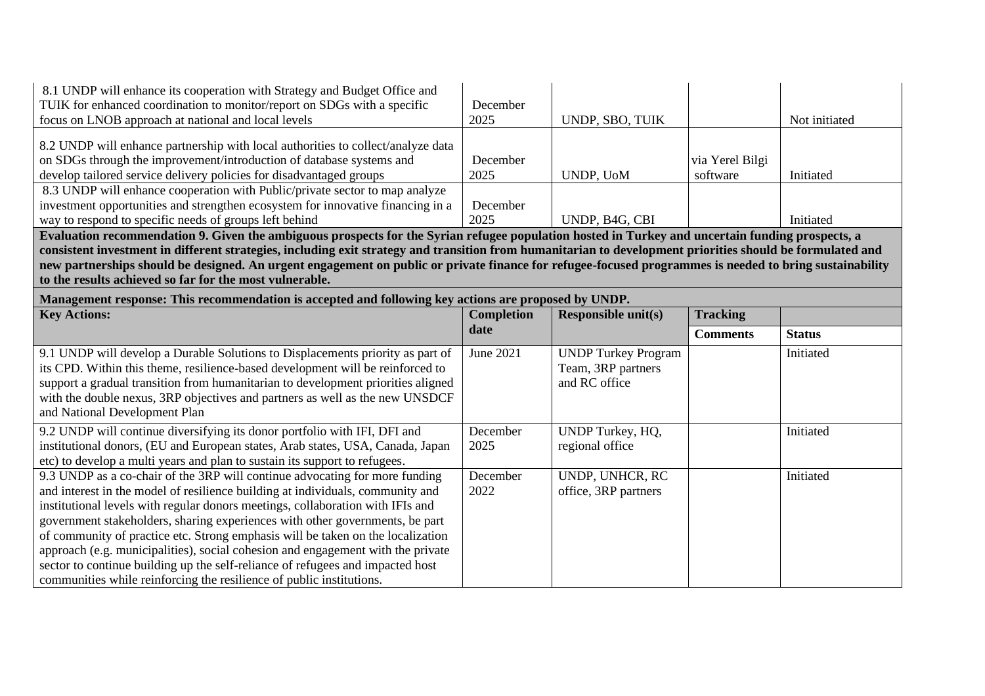| 8.1 UNDP will enhance its cooperation with Strategy and Budget Office and<br>TUIK for enhanced coordination to monitor/report on SDGs with a specific<br>focus on LNOB approach at national and local levels                                                                                                                                                                                                                                                                                                                                                                            | December<br>2025  | UNDP, SBO, TUIK                                                   |                             | Not initiated |  |  |  |
|-----------------------------------------------------------------------------------------------------------------------------------------------------------------------------------------------------------------------------------------------------------------------------------------------------------------------------------------------------------------------------------------------------------------------------------------------------------------------------------------------------------------------------------------------------------------------------------------|-------------------|-------------------------------------------------------------------|-----------------------------|---------------|--|--|--|
| 8.2 UNDP will enhance partnership with local authorities to collect/analyze data<br>on SDGs through the improvement/introduction of database systems and<br>develop tailored service delivery policies for disadvantaged groups                                                                                                                                                                                                                                                                                                                                                         | December<br>2025  | UNDP, UoM                                                         | via Yerel Bilgi<br>software | Initiated     |  |  |  |
| 8.3 UNDP will enhance cooperation with Public/private sector to map analyze<br>investment opportunities and strengthen ecosystem for innovative financing in a<br>way to respond to specific needs of groups left behind                                                                                                                                                                                                                                                                                                                                                                | December<br>2025  | UNDP, B4G, CBI                                                    |                             | Initiated     |  |  |  |
| Evaluation recommendation 9. Given the ambiguous prospects for the Syrian refugee population hosted in Turkey and uncertain funding prospects, a<br>consistent investment in different strategies, including exit strategy and transition from humanitarian to development priorities should be formulated and<br>new partnerships should be designed. An urgent engagement on public or private finance for refugee-focused programmes is needed to bring sustainability<br>to the results achieved so far for the most vulnerable.                                                    |                   |                                                                   |                             |               |  |  |  |
| Management response: This recommendation is accepted and following key actions are proposed by UNDP.                                                                                                                                                                                                                                                                                                                                                                                                                                                                                    |                   |                                                                   |                             |               |  |  |  |
| <b>Key Actions:</b>                                                                                                                                                                                                                                                                                                                                                                                                                                                                                                                                                                     | <b>Completion</b> | <b>Responsible unit(s)</b>                                        | <b>Tracking</b>             |               |  |  |  |
|                                                                                                                                                                                                                                                                                                                                                                                                                                                                                                                                                                                         | date              |                                                                   | <b>Comments</b>             | <b>Status</b> |  |  |  |
| 9.1 UNDP will develop a Durable Solutions to Displacements priority as part of<br>its CPD. Within this theme, resilience-based development will be reinforced to<br>support a gradual transition from humanitarian to development priorities aligned<br>with the double nexus, 3RP objectives and partners as well as the new UNSDCF<br>and National Development Plan                                                                                                                                                                                                                   | June 2021         | <b>UNDP Turkey Program</b><br>Team, 3RP partners<br>and RC office |                             | Initiated     |  |  |  |
| 9.2 UNDP will continue diversifying its donor portfolio with IFI, DFI and<br>institutional donors, (EU and European states, Arab states, USA, Canada, Japan<br>etc) to develop a multi years and plan to sustain its support to refugees.                                                                                                                                                                                                                                                                                                                                               | December<br>2025  | UNDP Turkey, HQ,<br>regional office                               |                             | Initiated     |  |  |  |
| 9.3 UNDP as a co-chair of the 3RP will continue advocating for more funding<br>and interest in the model of resilience building at individuals, community and<br>institutional levels with regular donors meetings, collaboration with IFIs and<br>government stakeholders, sharing experiences with other governments, be part<br>of community of practice etc. Strong emphasis will be taken on the localization<br>approach (e.g. municipalities), social cohesion and engagement with the private<br>sector to continue building up the self-reliance of refugees and impacted host | December<br>2022  | UNDP, UNHCR, RC<br>office, 3RP partners                           |                             | Initiated     |  |  |  |